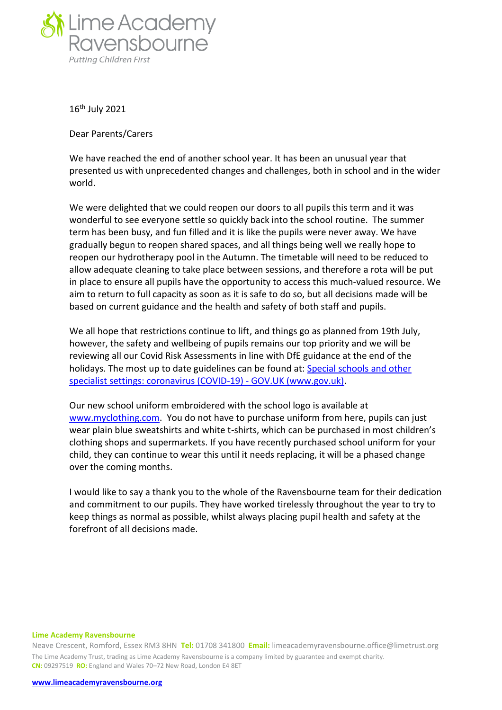

16th July 2021

Dear Parents/Carers

We have reached the end of another school year. It has been an unusual year that presented us with unprecedented changes and challenges, both in school and in the wider world.

We were delighted that we could reopen our doors to all pupils this term and it was wonderful to see everyone settle so quickly back into the school routine. The summer term has been busy, and fun filled and it is like the pupils were never away. We have gradually begun to reopen shared spaces, and all things being well we really hope to reopen our hydrotherapy pool in the Autumn. The timetable will need to be reduced to allow adequate cleaning to take place between sessions, and therefore a rota will be put in place to ensure all pupils have the opportunity to access this much-valued resource. We aim to return to full capacity as soon as it is safe to do so, but all decisions made will be based on current guidance and the health and safety of both staff and pupils.

We all hope that restrictions continue to lift, and things go as planned from 19th July, however, the safety and wellbeing of pupils remains our top priority and we will be reviewing all our Covid Risk Assessments in line with DfE guidance at the end of the holidays. The most up to date guidelines can be found at: [Special schools and other](https://www.gov.uk/government/publications/guidance-for-full-opening-special-schools-and-other-specialist-settings)  [specialist settings: coronavirus \(COVID-19\) -](https://www.gov.uk/government/publications/guidance-for-full-opening-special-schools-and-other-specialist-settings) GOV.UK (www.gov.uk).

Our new school uniform embroidered with the school logo is available at [www.myclothing.com.](http://www.myclothing.com/) You do not have to purchase uniform from here, pupils can just wear plain blue sweatshirts and white t-shirts, which can be purchased in most children's clothing shops and supermarkets. If you have recently purchased school uniform for your child, they can continue to wear this until it needs replacing, it will be a phased change over the coming months.

I would like to say a thank you to the whole of the Ravensbourne team for their dedication and commitment to our pupils. They have worked tirelessly throughout the year to try to keep things as normal as possible, whilst always placing pupil health and safety at the forefront of all decisions made.

## **Lime Academy Ravensbourne**

Neave Crescent, Romford, Essex RM3 8HN **Tel:** 01708 341800 **Email:** limeacademyravensbourne.office@limetrust.org The Lime Academy Trust, trading as Lime Academy Ravensbourne is a company limited by guarantee and exempt charity. **CN:** 09297519 **RO:** England and Wales 70–72 New Road, London E4 8ET